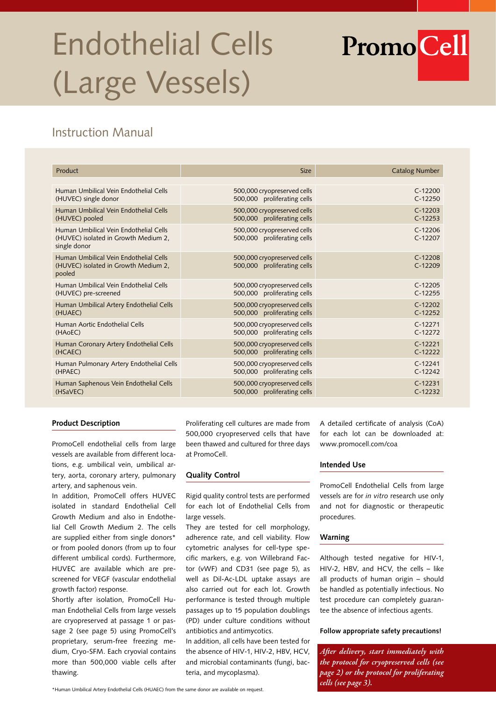# Endothelial Cells (Large Vessels)

# Instruction Manual

| Product                                                                                        | <b>Size</b>                                                | <b>Catalog Number</b>  |
|------------------------------------------------------------------------------------------------|------------------------------------------------------------|------------------------|
|                                                                                                |                                                            |                        |
| Human Umbilical Vein Endothelial Cells                                                         | 500,000 cryopreserved cells                                | $C-12200$              |
| (HUVEC) single donor                                                                           | 500,000 proliferating cells                                | $C-12250$              |
| Human Umbilical Vein Endothelial Cells                                                         | 500,000 cryopreserved cells                                | $C-12203$              |
| (HUVEC) pooled                                                                                 | 500,000 proliferating cells                                | $C-12253$              |
| Human Umbilical Vein Endothelial Cells<br>(HUVEC) isolated in Growth Medium 2,<br>single donor | 500,000 cryopreserved cells<br>500,000 proliferating cells | $C-12206$<br>$C-12207$ |
| Human Umbilical Vein Endothelial Cells<br>(HUVEC) isolated in Growth Medium 2,<br>pooled       | 500,000 cryopreserved cells<br>500,000 proliferating cells | $C-12208$<br>$C-12209$ |
| Human Umbilical Vein Endothelial Cells                                                         | 500,000 cryopreserved cells                                | $C-12205$              |
| (HUVEC) pre-screened                                                                           | 500,000 proliferating cells                                | $C-12255$              |
| Human Umbilical Artery Endothelial Cells                                                       | 500,000 cryopreserved cells                                | $C-12202$              |
| (HUAEC)                                                                                        | 500,000 proliferating cells                                | $C-12252$              |
| Human Aortic Endothelial Cells                                                                 | 500,000 cryopreserved cells                                | $C-12271$              |
| (HAOEC)                                                                                        | 500,000 proliferating cells                                | $C-12272$              |
| Human Coronary Artery Endothelial Cells                                                        | 500,000 cryopreserved cells                                | $C-12221$              |
| (HCAEC)                                                                                        | 500,000 proliferating cells                                | $C-12222$              |
| Human Pulmonary Artery Endothelial Cells                                                       | 500,000 cryopreserved cells                                | $C-12241$              |
| (HPAEC)                                                                                        | 500,000 proliferating cells                                | $C-12242$              |
| Human Saphenous Vein Endothelial Cells                                                         | 500,000 cryopreserved cells                                | $C-12231$              |
| (HSaVEC)                                                                                       | 500,000 proliferating cells                                | $C-12232$              |

# **Product Description**

PromoCell endothelial cells from large vessels are available from different locations, e.g. umbilical vein, umbilical artery, aorta, coronary artery, pulmonary artery, and saphenous vein.

In addition, PromoCell offers HUVEC isolated in standard Endothelial Cell Growth Medium and also in Endothelial Cell Growth Medium 2. The cells are supplied either from single donors\* or from pooled donors (from up to four different umbilical cords). Furthermore, HUVEC are available which are prescreened for VEGF (vascular endothelial growth factor) response.

Shortly after isolation, PromoCell Human Endothelial Cells from large vessels are cryopreserved at passage 1 or passage 2 (see page 5) using PromoCell's proprietary, serum-free freezing medium, Cryo-SFM. Each cryovial contains more than 500,000 viable cells after thawing.

Proliferating cell cultures are made from 500,000 cryopreserved cells that have been thawed and cultured for three days at PromoCell.

# **Quality Control**

Rigid quality control tests are performed for each lot of Endothelial Cells from large vessels.

They are tested for cell morphology, adherence rate, and cell viability. Flow cytometric analyses for cell-type specific markers, e.g. von Willebrand Factor (vWF) and CD31 (see page 5), as well as Dil-Ac-LDL uptake assays are also carried out for each lot. Growth performance is tested through multiple passages up to 15 population doublings (PD) under culture conditions without antibiotics and antimycotics.

In addition, all cells have been tested for the absence of HIV-1, HIV-2, HBV, HCV, and microbial contaminants (fungi, bacteria, and mycoplasma).

A detailed certificate of analysis (CoA) for each lot can be downloaded at: www.promocell.com/coa

**PromoCell** 

# **Intended Use**

PromoCell Endothelial Cells from large vessels are for *in vitro* research use only and not for diagnostic or therapeutic procedures.

# **Warning**

Although tested negative for HIV-1, HIV-2, HBV, and HCV, the cells – like all products of human origin – should be handled as potentially infectious. No test procedure can completely guarantee the absence of infectious agents.

#### **Follow appropriate safety precautions!**

*After delivery, start immediately with the protocol for cryopreserved cells (see page 2) or the protocol for proliferating cells (see page 3).*

<sup>\*</sup>Human Umbilical Artery Endothelial Cells (HUAEC) from the same donor are available on request.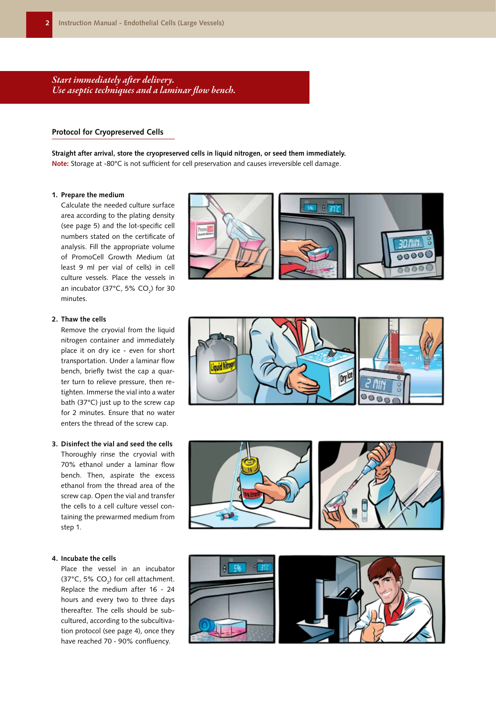*Start immediately after delivery. Use aseptic techniques and a laminar flow bench.*

# **Protocol for Cryopreserved Cells**

**Straight after arrival, store the cryopreserved cells in liquid nitrogen, or seed them immediately. Note:** Storage at -80°C is not sufficient for cell preservation and causes irreversible cell damage.

#### **1. Prepare the medium**

Calculate the needed culture surface area according to the plating density (see page 5) and the lot-specific cell numbers stated on the certificate of analysis. Fill the appropriate volume of PromoCell Growth Medium (at least 9 ml per vial of cells) in cell culture vessels. Place the vessels in an incubator (37°C, 5% CO<sub>2</sub>) for 30 minutes.

#### **2. Thaw the cells**

Remove the cryovial from the liquid nitrogen container and immediately place it on dry ice - even for short transportation. Under a laminar flow bench, briefly twist the cap a quarter turn to relieve pressure, then retighten. Immerse the vial into a water bath (37°C) just up to the screw cap for 2 minutes. Ensure that no water enters the thread of the screw cap.

#### **3. Disinfect the vial and seed the cells**

Thoroughly rinse the cryovial with 70% ethanol under a laminar flow bench. Then, aspirate the excess ethanol from the thread area of the screw cap. Open the vial and transfer the cells to a cell culture vessel containing the prewarmed medium from step 1.

#### **4. Incubate the cells**

Place the vessel in an incubator (37°C, 5%  $CO<sub>2</sub>$ ) for cell attachment. Replace the medium after 16 - 24 hours and every two to three days thereafter. The cells should be subcultured, according to the subcultivation protocol (see page 4), once they have reached 70 - 90% confluency.









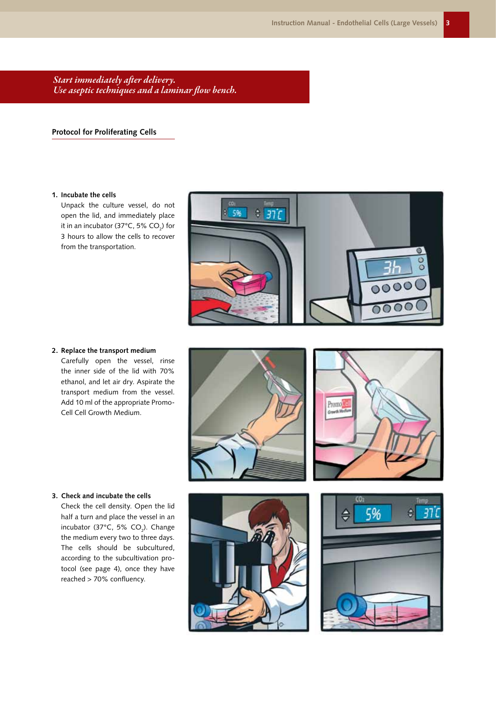*Start immediately after delivery. Use aseptic techniques and a laminar flow bench.*

# **Protocol for Proliferating Cells**

# **1. Incubate the cells**

Unpack the culture vessel, do not open the lid, and immediately place it in an incubator (37°C, 5% CO $_2$ ) for 3 hours to allow the cells to recover from the transportation.



**2. Replace the transport medium** Carefully open the vessel, rinse the inner side of the lid with 70% ethanol, and let air dry. Aspirate the transport medium from the vessel. Add 10 ml of the appropriate Promo-Cell Cell Growth Medium.





# **3. Check and incubate the cells**

Check the cell density. Open the lid half a turn and place the vessel in an incubator (37°C, 5%  $CO<sub>2</sub>$ ). Change the medium every two to three days. The cells should be subcultured, according to the subcultivation protocol (see page 4), once they have reached > 70% confluency.



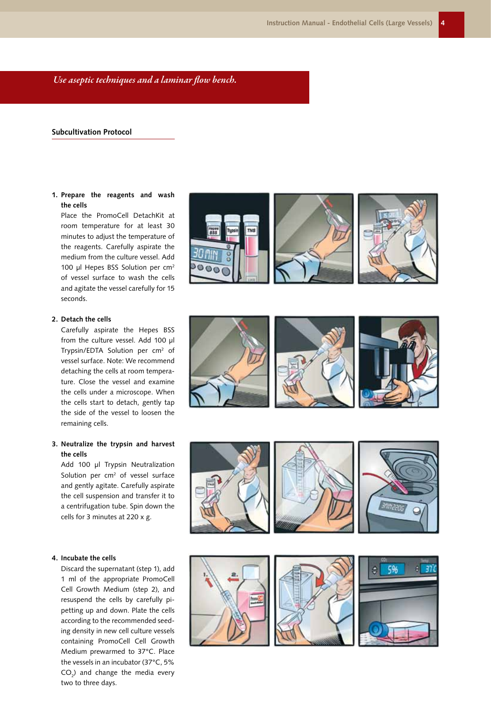*Use aseptic techniques and a laminar flow bench.*

# **Subcultivation Protocol**

# **1. Prepare the reagents and wash the cells**

Place the PromoCell DetachKit at room temperature for at least 30 minutes to adjust the temperature of the reagents. Carefully aspirate the medium from the culture vessel. Add 100 µl Hepes BSS Solution per cm<sup>2</sup> of vessel surface to wash the cells and agitate the vessel carefully for 15 seconds.

#### **2. Detach the cells**

Carefully aspirate the Hepes BSS from the culture vessel. Add 100 µl Trypsin/EDTA Solution per cm 2 of vessel surface. Note: We recommend detaching the cells at room tempera ture. Close the vessel and examine the cells under a microscope. When the cells start to detach, gently tap the side of the vessel to loosen the remaining cells.

# **3. Neutralize the trypsin and harvest the cells**

Add 100 µl Trypsin Neutralization Solution per cm<sup>2</sup> of vessel surface and gently agitate. Carefully aspirate the cell suspension and transfer it to a centrifugation tube. Spin down the cells for 3 minutes at 220 x g.

#### **4. Incubate the cells**

Discard the supernatant (step 1), add 1 ml of the appropriate PromoCell Cell Growth Medium (step 2), and resuspend the cells by carefully pi petting up and down. Plate the cells according to the recommended seed ing density in new cell culture vessels containing PromoCell Cell Growth Medium prewarmed to 37°C. Place the vessels in an incubator (37°C, 5% CO 2 ) and change the media every two to three days.





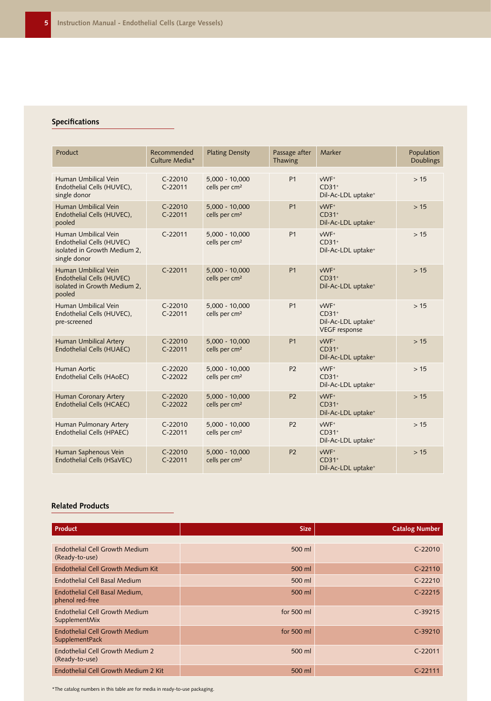# **Specifications**

| Product                                                                                           | Recommended<br>Culture Media* | <b>Plating Density</b>                        | Passage after<br>Thawing | Marker                                                                    | Population<br><b>Doublings</b> |
|---------------------------------------------------------------------------------------------------|-------------------------------|-----------------------------------------------|--------------------------|---------------------------------------------------------------------------|--------------------------------|
| Human Umbilical Vein<br>Endothelial Cells (HUVEC),<br>single donor                                | $C-22010$<br>$C-22011$        | $5,000 - 10,000$<br>cells per cm <sup>2</sup> | P <sub>1</sub>           | vWF+<br>$CD31+$<br>Dil-Ac-LDL uptake <sup>+</sup>                         | >15                            |
| Human Umbilical Vein<br>Endothelial Cells (HUVEC),<br>pooled                                      | $C-22010$<br>$C-22011$        | 5,000 - 10,000<br>cells per cm <sup>2</sup>   | P <sub>1</sub>           | vWF <sup>+</sup><br>$CD31+$<br>Dil-Ac-LDL uptake <sup>+</sup>             | >15                            |
| Human Umbilical Vein<br>Endothelial Cells (HUVEC)<br>isolated in Growth Medium 2,<br>single donor | $C-22011$                     | $5,000 - 10,000$<br>cells per cm <sup>2</sup> | P <sub>1</sub>           | vWF <sup>+</sup><br>$CD31+$<br>Dil-Ac-LDL uptake <sup>+</sup>             | >15                            |
| Human Umbilical Vein<br>Endothelial Cells (HUVEC)<br>isolated in Growth Medium 2,<br>pooled       | $C-22011$                     | $5,000 - 10,000$<br>cells per cm <sup>2</sup> | P <sub>1</sub>           | vWF <sup>+</sup><br>$CD31+$<br>Dil-Ac-LDL uptake <sup>+</sup>             | >15                            |
| Human Umbilical Vein<br>Endothelial Cells (HUVEC),<br>pre-screened                                | $C-22010$<br>$C-22011$        | $5,000 - 10,000$<br>cells per cm <sup>2</sup> | P <sub>1</sub>           | vWF+<br>$CD31+$<br>Dil-Ac-LDL uptake <sup>+</sup><br><b>VEGF</b> response | >15                            |
| Human Umbilical Artery<br>Endothelial Cells (HUAEC)                                               | $C-22010$<br>$C-22011$        | 5,000 - 10,000<br>cells per cm <sup>2</sup>   | P <sub>1</sub>           | vWF <sup>+</sup><br>$CD31+$<br>Dil-Ac-LDL uptake <sup>+</sup>             | >15                            |
| Human Aortic<br>Endothelial Cells (HAoEC)                                                         | $C-22020$<br>$C-22022$        | 5,000 - 10,000<br>cells per cm <sup>2</sup>   | <b>P2</b>                | vWF <sup>+</sup><br>$CD31+$<br>Dil-Ac-LDL uptake <sup>+</sup>             | >15                            |
| Human Coronary Artery<br><b>Endothelial Cells (HCAEC)</b>                                         | $C-22020$<br>$C-22022$        | $5,000 - 10,000$<br>cells per cm <sup>2</sup> | P <sub>2</sub>           | vWF <sup>+</sup><br>$CD31+$<br>Dil-Ac-LDL uptake <sup>+</sup>             | >15                            |
| Human Pulmonary Artery<br>Endothelial Cells (HPAEC)                                               | $C-22010$<br>$C-22011$        | 5,000 - 10,000<br>cells per cm <sup>2</sup>   | P <sub>2</sub>           | vWF <sup>+</sup><br>$CD31+$<br>Dil-Ac-LDL uptake <sup>+</sup>             | >15                            |
| Human Saphenous Vein<br>Endothelial Cells (HSaVEC)                                                | $C-22010$<br>$C-22011$        | $5,000 - 10,000$<br>cells per cm <sup>2</sup> | P <sub>2</sub>           | vWF <sup>+</sup><br>$CD31+$<br>Dil-Ac-LDL uptake <sup>+</sup>             | >15                            |

# **Related Products**

| <b>Product</b>                                          | <b>Size</b> | <b>Catalog Number</b> |
|---------------------------------------------------------|-------------|-----------------------|
|                                                         |             |                       |
| <b>Endothelial Cell Growth Medium</b><br>(Ready-to-use) | 500 ml      | $C - 22010$           |
| Endothelial Cell Growth Medium Kit                      | 500 ml      | $C-22110$             |
| Endothelial Cell Basal Medium                           | 500 ml      | $C-22210$             |
| Endothelial Cell Basal Medium,<br>phenol red-free       | 500 ml      | $C-22215$             |
| <b>Endothelial Cell Growth Medium</b><br>SupplementMix  | for 500 ml  | $C-39215$             |
| <b>Endothelial Cell Growth Medium</b><br>SupplementPack | for 500 ml  | $C-39210$             |
| Endothelial Cell Growth Medium 2<br>(Ready-to-use)      | 500 ml      | $C-22011$             |
| Endothelial Cell Growth Medium 2 Kit                    | 500 ml      | $C - 22111$           |

\*The catalog numbers in this table are for media in ready-to-use packaging.